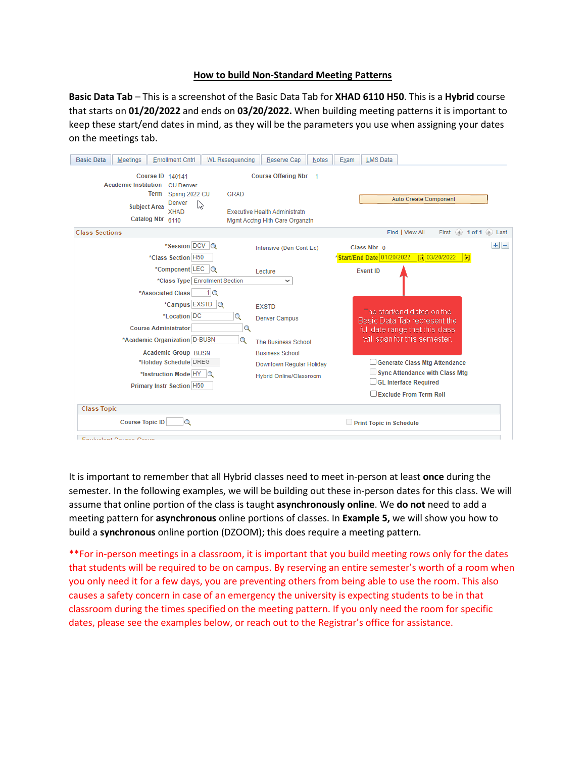## **How to build Non-Standard Meeting Patterns**

**Basic Data Tab** – This is a screenshot of the Basic Data Tab for **XHAD 6110 H50**. This is a **Hybrid** course that starts on **01/20/2022** and ends on **03/20/2022.** When building meeting patterns it is important to keep these start/end dates in mind, as they will be the parameters you use when assigning your dates on the meetings tab.

| <b>Enrollment Cntrl</b><br><b>Basic Data</b><br><b>Meetings</b><br><b>WL Resequencing</b>                                                                                                    | Reserve Cap<br><b>Notes</b>                                                                     | <b>LMS Data</b><br>Exam                                                                                                          |
|----------------------------------------------------------------------------------------------------------------------------------------------------------------------------------------------|-------------------------------------------------------------------------------------------------|----------------------------------------------------------------------------------------------------------------------------------|
| Course ID 140141<br><b>Academic Institution</b><br><b>CU</b> Denver<br><b>Term</b><br><b>GRAD</b><br>Spring 2022 CU<br>Denver<br>B<br><b>Subject Area</b><br><b>XHAD</b><br>Catalog Nbr 6110 | Course Offering Nbr 1<br><b>Executive Health Administratn</b><br>Mgmt Acctng Hith Care Organztn | Auto Create Component                                                                                                            |
| <b>Class Sections</b>                                                                                                                                                                        |                                                                                                 | First $\lnot$ 1 of 1 $\lnot$ Last<br>Find   View All                                                                             |
| *Session DCV Q<br>*Class Section H50                                                                                                                                                         | Intensive (Den Cont Ed)                                                                         | $+$ $-$<br>Class Nbr 0<br>Start/End Date 01/20/2022<br>同 03/20/2022<br>闘                                                         |
| *Component LEC<br>o<br>*Class Type   Enrollment Section                                                                                                                                      | Lecture<br>◡                                                                                    | <b>Event ID</b>                                                                                                                  |
| 1 <sup>Q</sup><br>*Associated Class<br>*Campus EXSTD Q<br>*Location DC<br>$\alpha$<br><b>Course Administrator</b><br>Q<br>*Academic Organization D-BUSN<br>Q                                 | <b>EXSTD</b><br><b>Denver Campus</b><br>The Business School                                     | The start/end dates on the<br>Basic Data Tab represent the<br>full date range that this class.<br>will span for this semester.   |
| <b>Academic Group BUSN</b><br>*Holiday Schedule DREG<br>*Instruction Mode HY<br>$\alpha$<br><b>Primary Instr Section H50</b>                                                                 | <b>Business School</b><br>Downtown Regular Holiday<br><b>Hybrid Online/Classroom</b>            | Generate Class Mtg Attendance<br><b>Sync Attendance with Class Mtg</b><br>$\Box$ GL Interface Required<br>Exclude From Term Roll |
| <b>Class Topic</b>                                                                                                                                                                           |                                                                                                 |                                                                                                                                  |
| <b>Course Topic ID</b><br>Q                                                                                                                                                                  |                                                                                                 | Print Topic in Schedule                                                                                                          |
| Equivalent Course Croup                                                                                                                                                                      |                                                                                                 |                                                                                                                                  |

It is important to remember that all Hybrid classes need to meet in-person at least **once** during the semester. In the following examples, we will be building out these in-person dates for this class. We will assume that online portion of the class is taught **asynchronously online**. We **do not** need to add a meeting pattern for **asynchronous** online portions of classes. In **Example 5,** we will show you how to build a **synchronous** online portion (DZOOM); this does require a meeting pattern.

\*\*For in-person meetings in a classroom, it is important that you build meeting rows only for the dates that students will be required to be on campus. By reserving an entire semester's worth of a room when you only need it for a few days, you are preventing others from being able to use the room. This also causes a safety concern in case of an emergency the university is expecting students to be in that classroom during the times specified on the meeting pattern. If you only need the room for specific dates, please see the examples below, or reach out to the Registrar's office for assistance.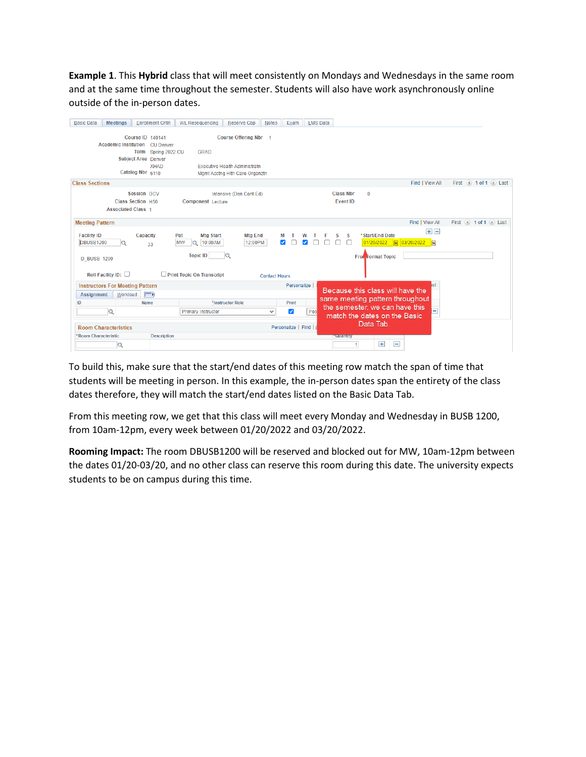**Example 1**. This **Hybrid** class that will meet consistently on Mondays and Wednesdays in the same room and at the same time throughout the semester. Students will also have work asynchronously online outside of the in-person dates.

| Course ID 140141<br>Course Offering Nbr 1<br><b>Academic Institution</b><br><b>CU Denver</b><br>Term Spring 2022 CU<br><b>GRAD</b><br><b>Subject Area Denver</b><br><b>XHAD</b><br><b>Executive Health Administratn</b><br>Catalog Nbr 6110<br>Mgmt Acctng Hith Care Organztn<br>First 4 1 of 1 2 Last<br><b>Class Sections</b><br>Find   View All |  |
|----------------------------------------------------------------------------------------------------------------------------------------------------------------------------------------------------------------------------------------------------------------------------------------------------------------------------------------------------|--|
|                                                                                                                                                                                                                                                                                                                                                    |  |
|                                                                                                                                                                                                                                                                                                                                                    |  |
|                                                                                                                                                                                                                                                                                                                                                    |  |
|                                                                                                                                                                                                                                                                                                                                                    |  |
|                                                                                                                                                                                                                                                                                                                                                    |  |
|                                                                                                                                                                                                                                                                                                                                                    |  |
| <b>Class Nbr</b><br>Session DCV<br>$\bf{0}$<br>Intensive (Den Cont Ed)                                                                                                                                                                                                                                                                             |  |
| <b>Event ID</b><br>Class Section H50<br>Component Lecture                                                                                                                                                                                                                                                                                          |  |
| <b>Associated Class 1</b>                                                                                                                                                                                                                                                                                                                          |  |
| Find   View All<br><b>Meeting Pattern</b><br>First 1 of 1 D Last                                                                                                                                                                                                                                                                                   |  |
|                                                                                                                                                                                                                                                                                                                                                    |  |
| $+$ $-$<br>*Start/End Date<br><b>Facility ID</b><br><b>Mtg Start</b><br><b>Mtg End</b><br>Capacity<br>Pat<br>S                                                                                                                                                                                                                                     |  |
| 01/20/2022   司 03/20/2022   間<br><b>DBUSB1200</b><br><b>MW</b><br>10:00AM<br>12:00PM<br>$\bigcirc$<br>✓<br>Q<br>33                                                                                                                                                                                                                                 |  |
| <b>Topic ID</b><br>Q                                                                                                                                                                                                                                                                                                                               |  |
| Free <b>Format Topic</b><br><b>D BUSB 1200</b>                                                                                                                                                                                                                                                                                                     |  |
|                                                                                                                                                                                                                                                                                                                                                    |  |
| Roll Facility ID: $\square$<br>Print Topic On Transcript<br><b>Contact Hours</b>                                                                                                                                                                                                                                                                   |  |
| Personalize  <br><b>Instructors For Meeting Pattern</b><br>ıst                                                                                                                                                                                                                                                                                     |  |
| Because this class will have the<br><b>EED</b><br>Workload<br>Assignment                                                                                                                                                                                                                                                                           |  |
| same meeting pattern throughout<br>*Instructor Role<br>Print<br><b>Name</b><br>ID                                                                                                                                                                                                                                                                  |  |
| the semester, we can have this<br>✓<br>Pos<br>Q<br><b>Primary Instructor</b><br>$\checkmark$                                                                                                                                                                                                                                                       |  |
| match the dates on the Basic                                                                                                                                                                                                                                                                                                                       |  |
| Data Tab.<br>Personalize   Find   i<br><b>Room Characteristics</b>                                                                                                                                                                                                                                                                                 |  |
| *Room Characteristic<br><b>Description</b><br><b>Telliaminy</b>                                                                                                                                                                                                                                                                                    |  |
| $+$<br>Ξ<br>Q                                                                                                                                                                                                                                                                                                                                      |  |

To build this, make sure that the start/end dates of this meeting row match the span of time that students will be meeting in person. In this example, the in-person dates span the entirety of the class dates therefore, they will match the start/end dates listed on the Basic Data Tab.

From this meeting row, we get that this class will meet every Monday and Wednesday in BUSB 1200, from 10am-12pm, every week between 01/20/2022 and 03/20/2022.

**Rooming Impact:** The room DBUSB1200 will be reserved and blocked out for MW, 10am-12pm between the dates 01/20-03/20, and no other class can reserve this room during this date. The university expects students to be on campus during this time.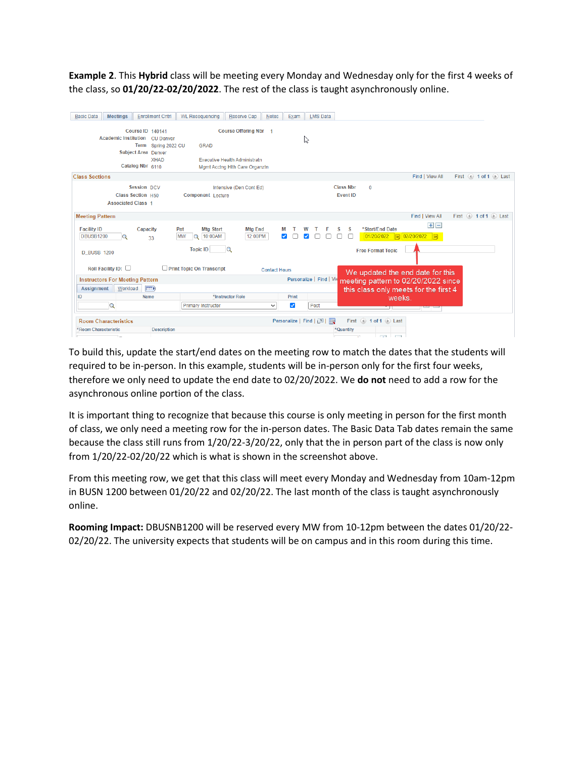**Example 2**. This **Hybrid** class will be meeting every Monday and Wednesday only for the first 4 weeks of the class, so **01/20/22-02/20/2022**. The rest of the class is taught asynchronously online.

| <b>Basic Data</b>      | <b>Meetings</b>                        | <b>Enrollment Cntrl</b>                      | <b>WL Resequencing</b>               | Reserve Cap                    | Notes                | Exam  | <b>LMS Data</b>          |                  |                                                      |                                       |                       |                       |
|------------------------|----------------------------------------|----------------------------------------------|--------------------------------------|--------------------------------|----------------------|-------|--------------------------|------------------|------------------------------------------------------|---------------------------------------|-----------------------|-----------------------|
|                        |                                        |                                              |                                      |                                |                      |       |                          |                  |                                                      |                                       |                       |                       |
|                        |                                        | Course ID 140141                             |                                      | Course Offering Nbr 1          |                      |       |                          |                  |                                                      |                                       |                       |                       |
|                        | <b>Academic Institution</b>            | <b>CU Denver</b><br><b>Term</b>              | <b>GRAD</b>                          |                                |                      |       | ド                        |                  |                                                      |                                       |                       |                       |
|                        |                                        | Spring 2022 CU<br><b>Subject Area Denver</b> |                                      |                                |                      |       |                          |                  |                                                      |                                       |                       |                       |
|                        |                                        | <b>XHAD</b>                                  | <b>Executive Health Administratn</b> |                                |                      |       |                          |                  |                                                      |                                       |                       |                       |
|                        |                                        | Catalog Nbr 6110                             |                                      | Mgmt Acctng Hith Care Organztn |                      |       |                          |                  |                                                      |                                       |                       |                       |
| <b>Class Sections</b>  |                                        |                                              |                                      |                                |                      |       |                          |                  |                                                      | Find   View All                       |                       | First 4 1 of 1 2 Last |
|                        |                                        | Session DCV                                  |                                      | Intensive (Den Cont Ed)        |                      |       |                          | <b>Class Nbr</b> | $\mathbf 0$                                          |                                       |                       |                       |
|                        |                                        | Class Section H50                            | <b>Component Lecture</b>             |                                |                      |       |                          | <b>Event ID</b>  |                                                      |                                       |                       |                       |
|                        | <b>Associated Class 1</b>              |                                              |                                      |                                |                      |       |                          |                  |                                                      |                                       |                       |                       |
|                        |                                        |                                              |                                      |                                |                      |       |                          |                  |                                                      |                                       |                       |                       |
| <b>Meeting Pattern</b> |                                        |                                              |                                      |                                |                      |       |                          |                  |                                                      | Find   View All                       | First 4 1 of 1 D Last |                       |
| <b>Facility ID</b>     |                                        | Capacity                                     | Pat<br><b>Mtg Start</b>              | <b>Mtg End</b>                 |                      |       |                          | s<br>S           | *Start/End Date                                      | $+$ $-$                               |                       |                       |
| <b>DBUSB1200</b>       |                                        | 33                                           | <b>MW</b><br>10:00AM<br>O            | 12:00PM                        |                      |       |                          |                  | 01/20/2022   岡 02/20/2022                            | 同                                     |                       |                       |
|                        |                                        |                                              | <b>Topic ID</b><br>Q                 |                                |                      |       |                          |                  |                                                      |                                       |                       |                       |
| <b>D BUSB 1200</b>     |                                        |                                              |                                      |                                |                      |       |                          |                  | <b>Free Format Topic</b>                             |                                       |                       |                       |
|                        | Roll Facility ID: $\square$            |                                              | Print Topic On Transcript            |                                | <b>Contact Hours</b> |       |                          |                  |                                                      | We updated the end date for this      |                       |                       |
|                        | <b>Instructors For Meeting Pattern</b> |                                              |                                      |                                |                      |       | Personalize   Find   Vie |                  |                                                      | meeting pattern to 02/20/2022 since   |                       |                       |
| <b>Assignment</b>      | Workload                               | <b>For</b>                                   |                                      |                                |                      |       |                          |                  |                                                      | this class only meets for the first 4 |                       |                       |
| ID                     |                                        | <b>Name</b>                                  | *Instructor Role                     |                                |                      | Print |                          |                  |                                                      | weeks.                                |                       |                       |
|                        | Q                                      |                                              | <b>Primary Instructor</b>            |                                | v                    | Ø     | Post                     |                  |                                                      |                                       |                       |                       |
|                        | <b>Room Characteristics</b>            |                                              |                                      |                                |                      |       | Personalize   Find   2   | 展                | First 4 1 of 1 2 Last                                |                                       |                       |                       |
| *Room Characteristic   |                                        | <b>Description</b>                           |                                      |                                |                      |       |                          | *Quantity        |                                                      |                                       |                       |                       |
|                        | ۔ ا                                    |                                              |                                      |                                |                      |       |                          |                  | $\overline{1}$<br><b>Contract Contract</b><br>$\sim$ |                                       |                       |                       |

To build this, update the start/end dates on the meeting row to match the dates that the students will required to be in-person. In this example, students will be in-person only for the first four weeks, therefore we only need to update the end date to 02/20/2022. We **do not** need to add a row for the asynchronous online portion of the class.

It is important thing to recognize that because this course is only meeting in person for the first month of class, we only need a meeting row for the in-person dates. The Basic Data Tab dates remain the same because the class still runs from 1/20/22-3/20/22, only that the in person part of the class is now only from 1/20/22-02/20/22 which is what is shown in the screenshot above.

From this meeting row, we get that this class will meet every Monday and Wednesday from 10am-12pm in BUSN 1200 between 01/20/22 and 02/20/22. The last month of the class is taught asynchronously online.

**Rooming Impact:** DBUSNB1200 will be reserved every MW from 10-12pm between the dates 01/20/22- 02/20/22. The university expects that students will be on campus and in this room during this time.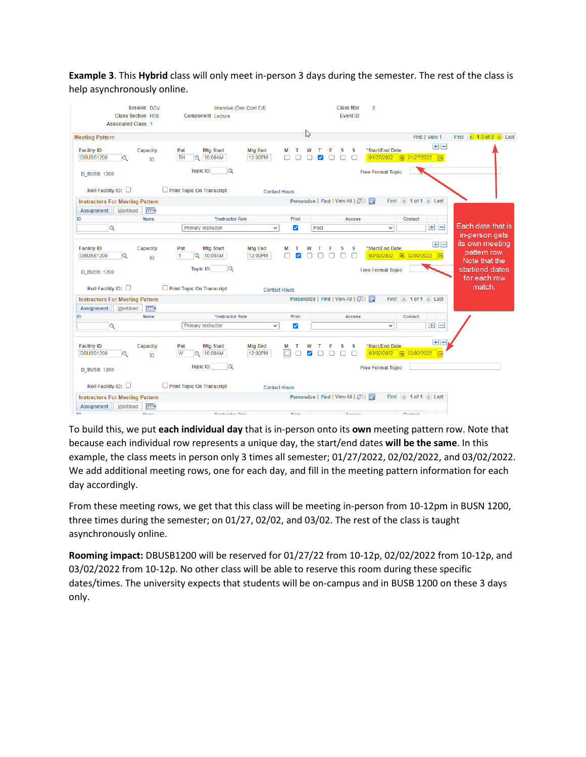**Example 3**. This **Hybrid** class will only meet in-person 3 days during the semester. The rest of the class is help asynchronously online.

| Session DCV<br><b>Class Section H50</b><br><b>Associated Class 1</b> | Intensive (Den Cont Ed)<br><b>Component Lecture</b>         |                                      | <b>Class Nbr</b><br><b>Event ID</b> | $\Omega$                                                     |                                                  |
|----------------------------------------------------------------------|-------------------------------------------------------------|--------------------------------------|-------------------------------------|--------------------------------------------------------------|--------------------------------------------------|
| <b>Meeting Pattern</b>                                               |                                                             | じく                                   |                                     | Find   View 1                                                | First $\bigoplus$ 1-3 of 3 $\bigoplus$ Last      |
| <b>Facility ID</b><br>Capacity<br><b>DBUSB1200</b><br>33             | <b>Mtg Start</b><br>Pat<br><b>TH</b><br>10:00AM<br>$\alpha$ | <b>Mtg End</b><br>12:00PM            | s<br>s                              | $+$ $-$<br>*Start/End Date<br>01/27/2022<br>同 01/27/2022 同   |                                                  |
| <b>D_BUSB 1200</b>                                                   | <b>Topic ID</b><br>$\alpha$                                 |                                      |                                     | <b>Free Format Topic</b>                                     |                                                  |
| Roll Facility ID: $\Box$                                             | Print Topic On Transcript                                   | <b>Contact Hours</b>                 |                                     |                                                              |                                                  |
| <b>Instructors For Meeting Pattern</b>                               |                                                             |                                      | Personalize   Find   View All   2   | First 4 1 of 1 2 Last                                        |                                                  |
| $E = 0$<br>Workload<br><b>Assignment</b>                             |                                                             |                                      |                                     |                                                              |                                                  |
| <b>Name</b><br>ID                                                    | *Instructor Role                                            | Print                                | <b>Access</b>                       | Contact                                                      | Each date that is                                |
| $\alpha$                                                             | <b>Primary Instructor</b>                                   | Post<br>$\checkmark$<br>✓            |                                     | $+$ $-$<br>$\checkmark$                                      | in-person gets                                   |
| <b>Facility ID</b><br>Capacity<br><b>DBUSB1200</b><br>Q<br>33        | <b>Mtg Start</b><br>Pat<br>l T<br>$\circ$<br>10:00AM        | <b>Mtg End</b><br>12:00PM            | S<br>s                              | $+$ $-$<br>*Start/End Date<br>02/02/2022   司 02/02/2022   同  | its own meeting<br>pattern row.                  |
| <b>D_BUSB 1200</b>                                                   | <b>Topic ID</b><br>Q                                        |                                      |                                     | <b>Free Format Topic</b>                                     | Note that the<br>start/end dates<br>for each row |
| Roll Facility ID: $\square$                                          | Print Topic On Transcript                                   | <b>Contact Hours</b>                 |                                     |                                                              | match.                                           |
| <b>Instructors For Meeting Pattern</b>                               |                                                             |                                      |                                     | First 4 1 of 1 2 Last                                        |                                                  |
| Assignment<br>Workload<br>$\sqrt{1-\frac{1}{2}}$                     |                                                             |                                      |                                     |                                                              |                                                  |
| ID<br><b>Name</b>                                                    | *Instructor Role                                            | Print                                | <b>Access</b>                       | Contact                                                      |                                                  |
| $\mathbf Q$                                                          | <b>Primary Instructor</b>                                   | $\checkmark$<br>$\blacktriangledown$ |                                     | $+$ $-$<br>$\checkmark$                                      |                                                  |
| <b>Facility ID</b><br>Capacity<br><b>DBUSB1200</b><br>33             | <b>Mtg Start</b><br>Pat<br>10:00AM<br>W<br>$\circ$          | <b>Mtg End</b><br>M<br>12:00PM       | s<br>s<br>$\Box$<br>п               | $+$ $-$<br>*Start/End Date<br>03/02/2022   前 03/02/2022<br>同 |                                                  |
| <b>D BUSB 1200</b>                                                   | <b>Topic ID</b><br>Q                                        |                                      |                                     | <b>Free Format Topic</b>                                     |                                                  |
| Roll Facility ID: $\Box$                                             | $\Box$ Print Topic On Transcript                            | <b>Contact Hours</b>                 |                                     |                                                              |                                                  |
| <b>Instructors For Meeting Pattern</b>                               |                                                             |                                      | Personalize   Find   View All   2   | First 4 1 of 1 2 Last                                        |                                                  |
| Workload<br><b>Exp</b><br>Assignment                                 |                                                             |                                      |                                     |                                                              |                                                  |

To build this, we put **each individual day** that is in-person onto its **own** meeting pattern row. Note that because each individual row represents a unique day, the start/end dates **will be the same**. In this example, the class meets in person only 3 times all semester; 01/27/2022, 02/02/2022, and 03/02/2022. We add additional meeting rows, one for each day, and fill in the meeting pattern information for each day accordingly.

From these meeting rows, we get that this class will be meeting in-person from 10-12pm in BUSN 1200, three times during the semester; on 01/27, 02/02, and 03/02. The rest of the class is taught asynchronously online.

**Rooming impact:** DBUSB1200 will be reserved for 01/27/22 from 10-12p, 02/02/2022 from 10-12p, and 03/02/2022 from 10-12p. No other class will be able to reserve this room during these specific dates/times. The university expects that students will be on-campus and in BUSB 1200 on these 3 days only.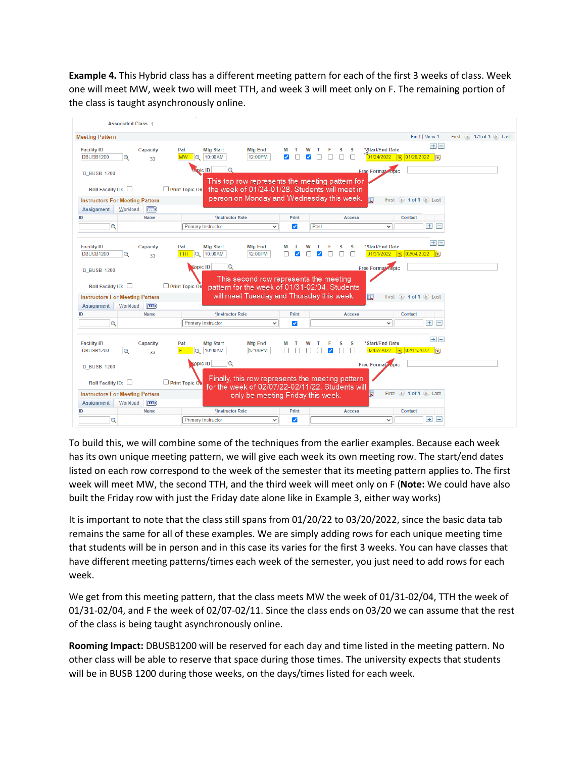**Example 4.** This Hybrid class has a different meeting pattern for each of the first 3 weeks of class. Week one will meet MW, week two will meet TTH, and week 3 will meet only on F. The remaining portion of the class is taught asynchronously online.



To build this, we will combine some of the techniques from the earlier examples. Because each week has its own unique meeting pattern, we will give each week its own meeting row. The start/end dates listed on each row correspond to the week of the semester that its meeting pattern applies to. The first week will meet MW, the second TTH, and the third week will meet only on F (**Note:** We could have also built the Friday row with just the Friday date alone like in Example 3, either way works)

It is important to note that the class still spans from 01/20/22 to 03/20/2022, since the basic data tab remains the same for all of these examples. We are simply adding rows for each unique meeting time that students will be in person and in this case its varies for the first 3 weeks. You can have classes that have different meeting patterns/times each week of the semester, you just need to add rows for each week.

We get from this meeting pattern, that the class meets MW the week of 01/31-02/04, TTH the week of 01/31-02/04, and F the week of 02/07-02/11. Since the class ends on 03/20 we can assume that the rest of the class is being taught asynchronously online.

**Rooming Impact:** DBUSB1200 will be reserved for each day and time listed in the meeting pattern. No other class will be able to reserve that space during those times. The university expects that students will be in BUSB 1200 during those weeks, on the days/times listed for each week.